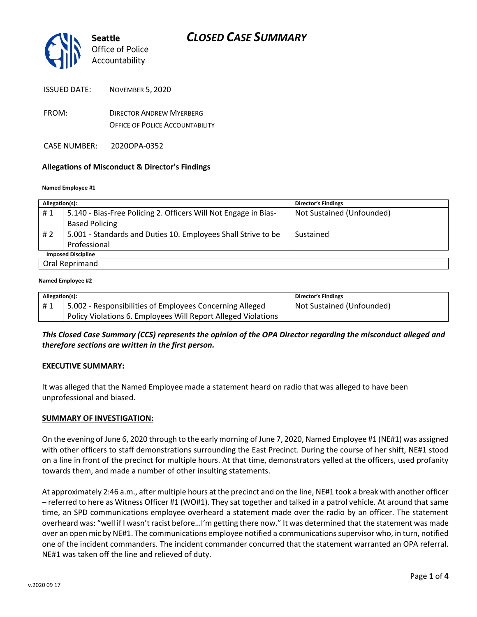

- FROM: DIRECTOR ANDREW MYERBERG OFFICE OF POLICE ACCOUNTABILITY
- CASE NUMBER: 2020OPA-0352

## **Allegations of Misconduct & Director's Findings**

#### **Named Employee #1**

| Allegation(s):            |                                                                 | <b>Director's Findings</b> |  |
|---------------------------|-----------------------------------------------------------------|----------------------------|--|
| #1                        | 5.140 - Bias-Free Policing 2. Officers Will Not Engage in Bias- | Not Sustained (Unfounded)  |  |
|                           | <b>Based Policing</b>                                           |                            |  |
| #2                        | 5.001 - Standards and Duties 10. Employees Shall Strive to be   | Sustained                  |  |
|                           | Professional                                                    |                            |  |
| <b>Imposed Discipline</b> |                                                                 |                            |  |
| Oral Reprimand            |                                                                 |                            |  |

#### **Named Employee #2**

| Allegation(s): |                                                               | <b>Director's Findings</b> |
|----------------|---------------------------------------------------------------|----------------------------|
| #1             | 5.002 - Responsibilities of Employees Concerning Alleged      | Not Sustained (Unfounded)  |
|                | Policy Violations 6. Employees Will Report Alleged Violations |                            |

*This Closed Case Summary (CCS) represents the opinion of the OPA Director regarding the misconduct alleged and therefore sections are written in the first person.* 

### **EXECUTIVE SUMMARY:**

It was alleged that the Named Employee made a statement heard on radio that was alleged to have been unprofessional and biased.

### **SUMMARY OF INVESTIGATION:**

On the evening of June 6, 2020 through to the early morning of June 7, 2020, Named Employee #1 (NE#1) was assigned with other officers to staff demonstrations surrounding the East Precinct. During the course of her shift, NE#1 stood on a line in front of the precinct for multiple hours. At that time, demonstrators yelled at the officers, used profanity towards them, and made a number of other insulting statements.

At approximately 2:46 a.m., after multiple hours at the precinct and on the line, NE#1 took a break with another officer – referred to here as Witness Officer #1 (WO#1). They sat together and talked in a patrol vehicle. At around that same time, an SPD communications employee overheard a statement made over the radio by an officer. The statement overheard was: "well if I wasn't racist before…I'm getting there now." It was determined that the statement was made over an open mic by NE#1. The communications employee notified a communications supervisor who, in turn, notified one of the incident commanders. The incident commander concurred that the statement warranted an OPA referral. NE#1 was taken off the line and relieved of duty.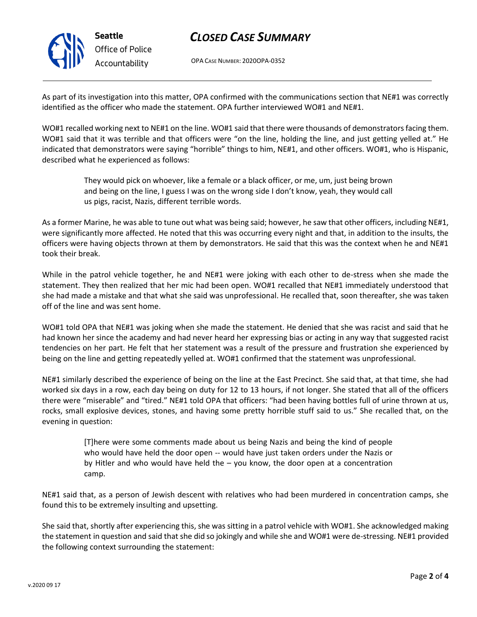**Seattle** *Office of Police Accountability*

# *CLOSED CASE SUMMARY*

OPA CASE NUMBER: 2020OPA-0352

As part of its investigation into this matter, OPA confirmed with the communications section that NE#1 was correctly identified as the officer who made the statement. OPA further interviewed WO#1 and NE#1.

WO#1 recalled working next to NE#1 on the line. WO#1 said that there were thousands of demonstrators facing them. WO#1 said that it was terrible and that officers were "on the line, holding the line, and just getting yelled at." He indicated that demonstrators were saying "horrible" things to him, NE#1, and other officers. WO#1, who is Hispanic, described what he experienced as follows:

> They would pick on whoever, like a female or a black officer, or me, um, just being brown and being on the line, I guess I was on the wrong side I don't know, yeah, they would call us pigs, racist, Nazis, different terrible words.

As a former Marine, he was able to tune out what was being said; however, he saw that other officers, including NE#1, were significantly more affected. He noted that this was occurring every night and that, in addition to the insults, the officers were having objects thrown at them by demonstrators. He said that this was the context when he and NE#1 took their break.

While in the patrol vehicle together, he and NE#1 were joking with each other to de-stress when she made the statement. They then realized that her mic had been open. WO#1 recalled that NE#1 immediately understood that she had made a mistake and that what she said was unprofessional. He recalled that, soon thereafter, she was taken off of the line and was sent home.

WO#1 told OPA that NE#1 was joking when she made the statement. He denied that she was racist and said that he had known her since the academy and had never heard her expressing bias or acting in any way that suggested racist tendencies on her part. He felt that her statement was a result of the pressure and frustration she experienced by being on the line and getting repeatedly yelled at. WO#1 confirmed that the statement was unprofessional.

NE#1 similarly described the experience of being on the line at the East Precinct. She said that, at that time, she had worked six days in a row, each day being on duty for 12 to 13 hours, if not longer. She stated that all of the officers there were "miserable" and "tired." NE#1 told OPA that officers: "had been having bottles full of urine thrown at us, rocks, small explosive devices, stones, and having some pretty horrible stuff said to us." She recalled that, on the evening in question:

> [T]here were some comments made about us being Nazis and being the kind of people who would have held the door open -- would have just taken orders under the Nazis or by Hitler and who would have held the – you know, the door open at a concentration camp.

NE#1 said that, as a person of Jewish descent with relatives who had been murdered in concentration camps, she found this to be extremely insulting and upsetting.

She said that, shortly after experiencing this, she was sitting in a patrol vehicle with WO#1. She acknowledged making the statement in question and said that she did so jokingly and while she and WO#1 were de-stressing. NE#1 provided the following context surrounding the statement: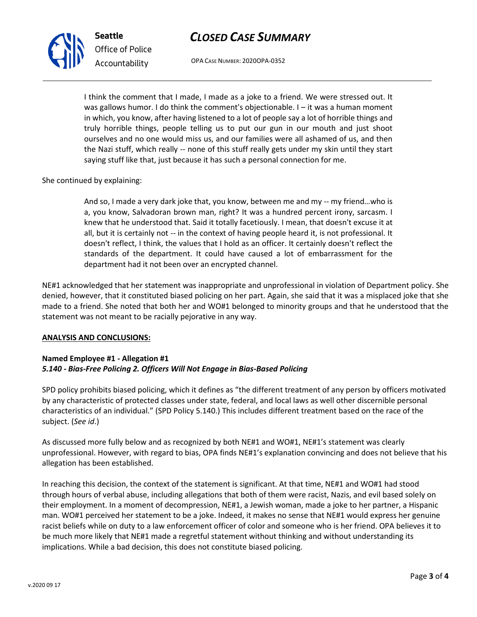# *CLOSED CASE SUMMARY*

OPA CASE NUMBER: 2020OPA-0352

I think the comment that I made, I made as a joke to a friend. We were stressed out. It was gallows humor. I do think the comment's objectionable. I – it was a human moment in which, you know, after having listened to a lot of people say a lot of horrible things and truly horrible things, people telling us to put our gun in our mouth and just shoot ourselves and no one would miss us, and our families were all ashamed of us, and then the Nazi stuff, which really -- none of this stuff really gets under my skin until they start saying stuff like that, just because it has such a personal connection for me.

## She continued by explaining:

**Seattle**

*Office of Police Accountability*

And so, I made a very dark joke that, you know, between me and my -- my friend…who is a, you know, Salvadoran brown man, right? It was a hundred percent irony, sarcasm. I knew that he understood that. Said it totally facetiously. I mean, that doesn't excuse it at all, but it is certainly not -- in the context of having people heard it, is not professional. It doesn't reflect, I think, the values that I hold as an officer. It certainly doesn't reflect the standards of the department. It could have caused a lot of embarrassment for the department had it not been over an encrypted channel.

NE#1 acknowledged that her statement was inappropriate and unprofessional in violation of Department policy. She denied, however, that it constituted biased policing on her part. Again, she said that it was a misplaced joke that she made to a friend. She noted that both her and WO#1 belonged to minority groups and that he understood that the statement was not meant to be racially pejorative in any way.

### **ANALYSIS AND CONCLUSIONS:**

# **Named Employee #1 - Allegation #1** *5.140 - Bias-Free Policing 2. Officers Will Not Engage in Bias-Based Policing*

SPD policy prohibits biased policing, which it defines as "the different treatment of any person by officers motivated by any characteristic of protected classes under state, federal, and local laws as well other discernible personal characteristics of an individual." (SPD Policy 5.140.) This includes different treatment based on the race of the subject. (*See id*.)

As discussed more fully below and as recognized by both NE#1 and WO#1, NE#1's statement was clearly unprofessional. However, with regard to bias, OPA finds NE#1's explanation convincing and does not believe that his allegation has been established.

In reaching this decision, the context of the statement is significant. At that time, NE#1 and WO#1 had stood through hours of verbal abuse, including allegations that both of them were racist, Nazis, and evil based solely on their employment. In a moment of decompression, NE#1, a Jewish woman, made a joke to her partner, a Hispanic man. WO#1 perceived her statement to be a joke. Indeed, it makes no sense that NE#1 would express her genuine racist beliefs while on duty to a law enforcement officer of color and someone who is her friend. OPA believes it to be much more likely that NE#1 made a regretful statement without thinking and without understanding its implications. While a bad decision, this does not constitute biased policing.